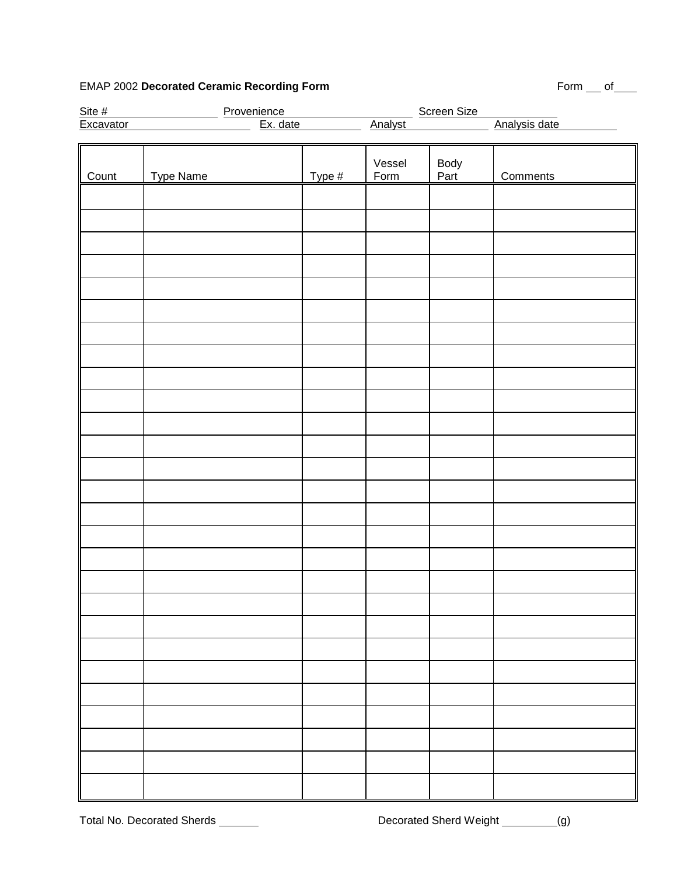# EMAP 2002 Decorated Ceramic Recording Form **Form** Form **Form** Form of

| Site #<br>Excavator | <b>Screen Size</b><br>Provenience<br><u>Ex.</u> date |        |                |              |               |
|---------------------|------------------------------------------------------|--------|----------------|--------------|---------------|
|                     |                                                      |        | <b>Analyst</b> |              | Analysis date |
|                     |                                                      |        |                |              |               |
| Count               | Type Name                                            | Type # | Vessel<br>Form | Body<br>Part | Comments      |
|                     |                                                      |        |                |              |               |
|                     |                                                      |        |                |              |               |
|                     |                                                      |        |                |              |               |
|                     |                                                      |        |                |              |               |
|                     |                                                      |        |                |              |               |
|                     |                                                      |        |                |              |               |
|                     |                                                      |        |                |              |               |
|                     |                                                      |        |                |              |               |
|                     |                                                      |        |                |              |               |
|                     |                                                      |        |                |              |               |
|                     |                                                      |        |                |              |               |
|                     |                                                      |        |                |              |               |
|                     |                                                      |        |                |              |               |
|                     |                                                      |        |                |              |               |
|                     |                                                      |        |                |              |               |
|                     |                                                      |        |                |              |               |
|                     |                                                      |        |                |              |               |
|                     |                                                      |        |                |              |               |
|                     |                                                      |        |                |              |               |
|                     |                                                      |        |                |              |               |
|                     |                                                      |        |                |              |               |
|                     |                                                      |        |                |              |               |
|                     |                                                      |        |                |              |               |
|                     |                                                      |        |                |              |               |
|                     |                                                      |        |                |              |               |
|                     |                                                      |        |                |              |               |
|                     |                                                      |        |                |              |               |
|                     |                                                      |        |                |              |               |
|                     |                                                      |        |                |              |               |
|                     |                                                      |        |                |              |               |
|                     |                                                      |        |                |              |               |
|                     |                                                      |        |                |              |               |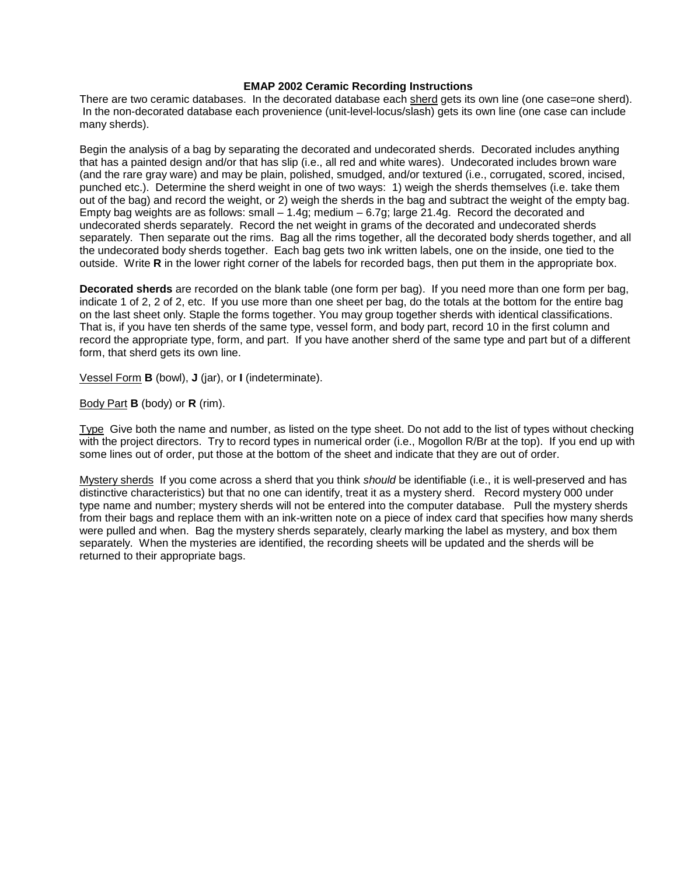### **EMAP 2002 Ceramic Recording Instructions**

There are two ceramic databases. In the decorated database each sherd gets its own line (one case=one sherd). In the non-decorated database each provenience (unit-level-locus/slash) gets its own line (one case can include many sherds).

Begin the analysis of a bag by separating the decorated and undecorated sherds. Decorated includes anything that has a painted design and/or that has slip (i.e., all red and white wares). Undecorated includes brown ware (and the rare gray ware) and may be plain, polished, smudged, and/or textured (i.e., corrugated, scored, incised, punched etc.). Determine the sherd weight in one of two ways: 1) weigh the sherds themselves (i.e. take them out of the bag) and record the weight, or 2) weigh the sherds in the bag and subtract the weight of the empty bag. Empty bag weights are as follows: small  $-1.4g$ ; medium  $-6.7g$ ; large 21.4g. Record the decorated and undecorated sherds separately. Record the net weight in grams of the decorated and undecorated sherds separately. Then separate out the rims. Bag all the rims together, all the decorated body sherds together, and all the undecorated body sherds together. Each bag gets two ink written labels, one on the inside, one tied to the outside. Write **R** in the lower right corner of the labels for recorded bags, then put them in the appropriate box.

**Decorated sherds** are recorded on the blank table (one form per bag). If you need more than one form per bag, indicate 1 of 2, 2 of 2, etc. If you use more than one sheet per bag, do the totals at the bottom for the entire bag on the last sheet only. Staple the forms together. You may group together sherds with identical classifications. That is, if you have ten sherds of the same type, vessel form, and body part, record 10 in the first column and record the appropriate type, form, and part. If you have another sherd of the same type and part but of a different form, that sherd gets its own line.

Vessel Form **B** (bowl), **J** (jar), or **I** (indeterminate).

Body Part **B** (body) or **R** (rim).

Type Give both the name and number, as listed on the type sheet. Do not add to the list of types without checking with the project directors. Try to record types in numerical order (i.e., Mogollon R/Br at the top). If you end up with some lines out of order, put those at the bottom of the sheet and indicate that they are out of order.

Mystery sherds If you come across a sherd that you think should be identifiable (i.e., it is well-preserved and has distinctive characteristics) but that no one can identify, treat it as a mystery sherd. Record mystery 000 under type name and number; mystery sherds will not be entered into the computer database. Pull the mystery sherds from their bags and replace them with an ink-written note on a piece of index card that specifies how many sherds were pulled and when. Bag the mystery sherds separately, clearly marking the label as mystery, and box them separately. When the mysteries are identified, the recording sheets will be updated and the sherds will be returned to their appropriate bags.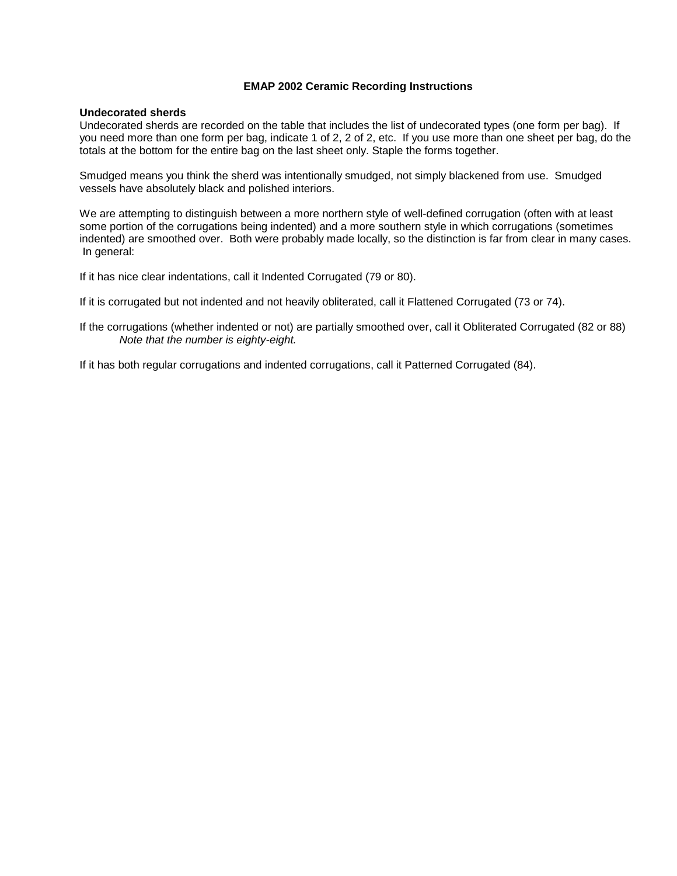## **EMAP 2002 Ceramic Recording Instructions**

# **Undecorated sherds**

Undecorated sherds are recorded on the table that includes the list of undecorated types (one form per bag). If you need more than one form per bag, indicate 1 of 2, 2 of 2, etc. If you use more than one sheet per bag, do the totals at the bottom for the entire bag on the last sheet only. Staple the forms together.

Smudged means you think the sherd was intentionally smudged, not simply blackened from use. Smudged vessels have absolutely black and polished interiors.

We are attempting to distinguish between a more northern style of well-defined corrugation (often with at least some portion of the corrugations being indented) and a more southern style in which corrugations (sometimes indented) are smoothed over. Both were probably made locally, so the distinction is far from clear in many cases. In general:

If it has nice clear indentations, call it Indented Corrugated (79 or 80).

If it is corrugated but not indented and not heavily obliterated, call it Flattened Corrugated (73 or 74).

If the corrugations (whether indented or not) are partially smoothed over, call it Obliterated Corrugated (82 or 88) Note that the number is eighty-eight.

If it has both regular corrugations and indented corrugations, call it Patterned Corrugated (84).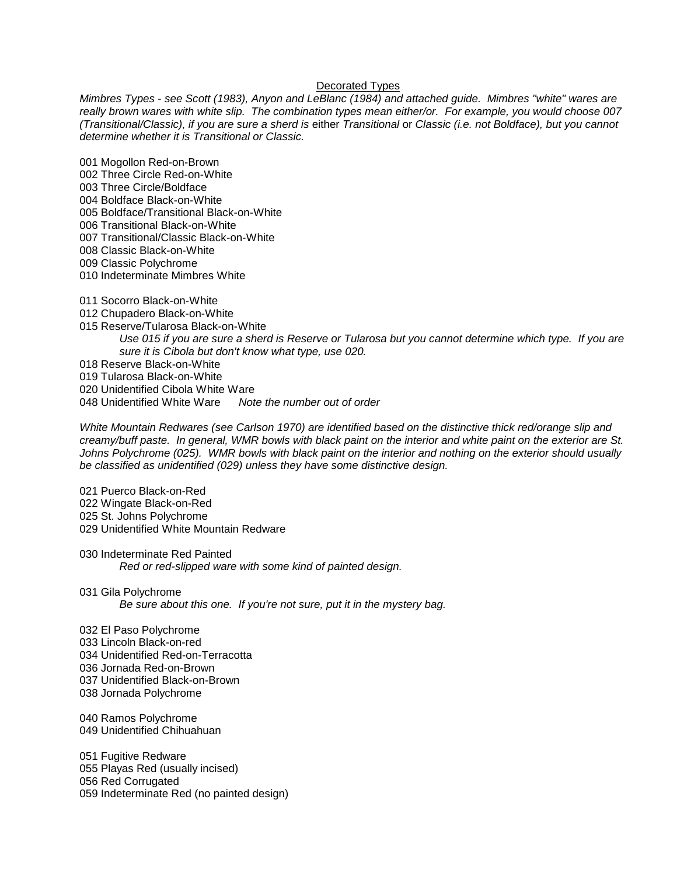### Decorated Types

Mimbres Types - see Scott (1983), Anyon and LeBlanc (1984) and attached guide. Mimbres "white" wares are really brown wares with white slip. The combination types mean either/or. For example, you would choose 007 (Transitional/Classic), if you are sure a sherd is either Transitional or Classic (i.e. not Boldface), but you cannot determine whether it is Transitional or Classic.

001 Mogollon Red-on-Brown

- 002 Three Circle Red-on-White 003 Three Circle/Boldface
- 004 Boldface Black-on-White
- 005 Boldface/Transitional Black-on-White
- 006 Transitional Black-on-White
- 007 Transitional/Classic Black-on-White
- 008 Classic Black-on-White
- 009 Classic Polychrome
- 010 Indeterminate Mimbres White
- 011 Socorro Black-on-White
- 012 Chupadero Black-on-White
- 015 Reserve/Tularosa Black-on-White
	- Use 015 if you are sure a sherd is Reserve or Tularosa but you cannot determine which type. If you are sure it is Cibola but don't know what type, use 020.
- 018 Reserve Black-on-White
- 019 Tularosa Black-on-White
- 020 Unidentified Cibola White Ware<br>048 Unidentified White Ware Note
- Note the number out of order

White Mountain Redwares (see Carlson 1970) are identified based on the distinctive thick red/orange slip and creamy/buff paste. In general, WMR bowls with black paint on the interior and white paint on the exterior are St. Johns Polychrome (025). WMR bowls with black paint on the interior and nothing on the exterior should usually be classified as unidentified (029) unless they have some distinctive design.

- 021 Puerco Black-on-Red 022 Wingate Black-on-Red 025 St. Johns Polychrome 029 Unidentified White Mountain Redware
- 030 Indeterminate Red Painted Red or red-slipped ware with some kind of painted design.
- 031 Gila Polychrome Be sure about this one. If you're not sure, put it in the mystery bag.
- 032 El Paso Polychrome
- 033 Lincoln Black-on-red
- 034 Unidentified Red-on-Terracotta
- 036 Jornada Red-on-Brown
- 037 Unidentified Black-on-Brown
- 038 Jornada Polychrome
- 040 Ramos Polychrome 049 Unidentified Chihuahuan

051 Fugitive Redware 055 Playas Red (usually incised) 056 Red Corrugated 059 Indeterminate Red (no painted design)